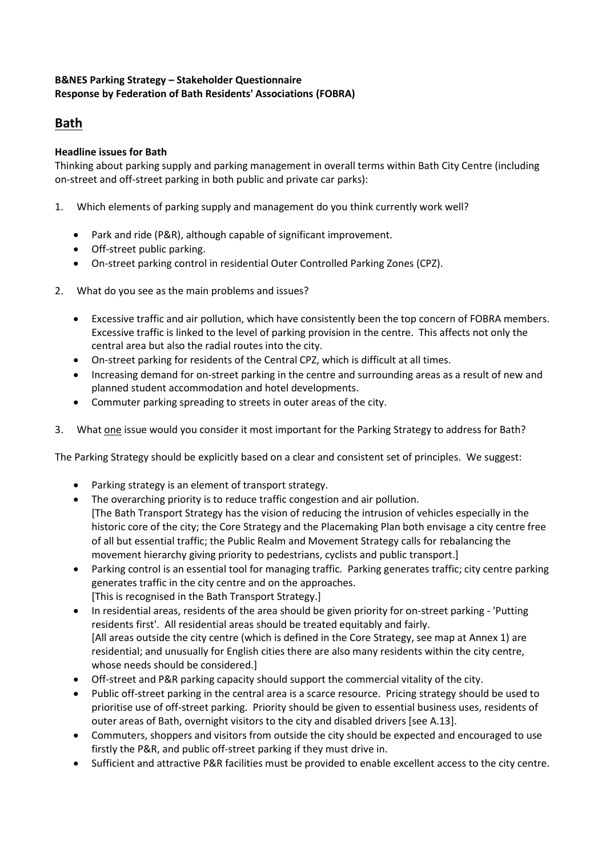## **B&NES Parking Strategy – Stakeholder Questionnaire Response by Federation of Bath Residents' Associations (FOBRA)**

# **Bath**

## **Headline issues for Bath**

Thinking about parking supply and parking management in overall terms within Bath City Centre (including on-street and off-street parking in both public and private car parks):

- 1. Which elements of parking supply and management do you think currently work well?
	- Park and ride (P&R), although capable of significant improvement.
	- Off-street public parking.
	- On-street parking control in residential Outer Controlled Parking Zones (CPZ).
- 2. What do you see as the main problems and issues?
	- Excessive traffic and air pollution, which have consistently been the top concern of FOBRA members. Excessive traffic is linked to the level of parking provision in the centre. This affects not only the central area but also the radial routes into the city.
	- On-street parking for residents of the Central CPZ, which is difficult at all times.
	- Increasing demand for on-street parking in the centre and surrounding areas as a result of new and planned student accommodation and hotel developments.
	- Commuter parking spreading to streets in outer areas of the city.
- 3. What one issue would you consider it most important for the Parking Strategy to address for Bath?

The Parking Strategy should be explicitly based on a clear and consistent set of principles. We suggest:

- Parking strategy is an element of transport strategy.
- The overarching priority is to reduce traffic congestion and air pollution. [The Bath Transport Strategy has the vision of reducing the intrusion of vehicles especially in the historic core of the city; the Core Strategy and the Placemaking Plan both envisage a city centre free of all but essential traffic; the Public Realm and Movement Strategy calls for rebalancing the movement hierarchy giving priority to pedestrians, cyclists and public transport.]
- Parking control is an essential tool for managing traffic. Parking generates traffic; city centre parking generates traffic in the city centre and on the approaches. [This is recognised in the Bath Transport Strategy.]
- In residential areas, residents of the area should be given priority for on-street parking 'Putting residents first'. All residential areas should be treated equitably and fairly. [All areas outside the city centre (which is defined in the Core Strategy, see map at Annex 1) are residential; and unusually for English cities there are also many residents within the city centre, whose needs should be considered.]
- Off-street and P&R parking capacity should support the commercial vitality of the city.
- Public off-street parking in the central area is a scarce resource. Pricing strategy should be used to prioritise use of off-street parking. Priority should be given to essential business uses, residents of outer areas of Bath, overnight visitors to the city and disabled drivers [see A.13].
- Commuters, shoppers and visitors from outside the city should be expected and encouraged to use firstly the P&R, and public off-street parking if they must drive in.
- Sufficient and attractive P&R facilities must be provided to enable excellent access to the city centre.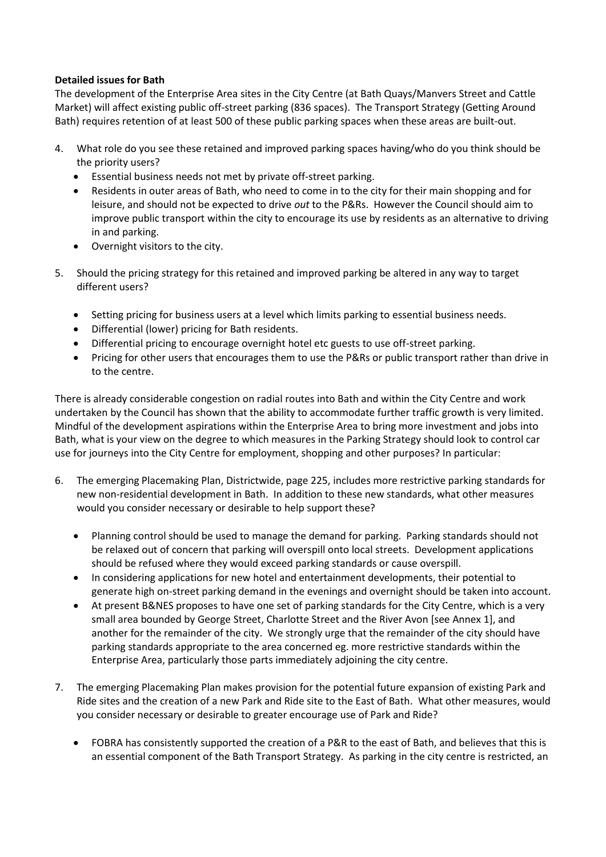### **Detailed issues for Bath**

The development of the Enterprise Area sites in the City Centre (at Bath Quays/Manvers Street and Cattle Market) will affect existing public off-street parking (836 spaces). The Transport Strategy (Getting Around Bath) requires retention of at least 500 of these public parking spaces when these areas are built-out.

- 4. What role do you see these retained and improved parking spaces having/who do you think should be the priority users?
	- Essential business needs not met by private off-street parking.
	- Residents in outer areas of Bath, who need to come in to the city for their main shopping and for leisure, and should not be expected to drive *out* to the P&Rs. However the Council should aim to improve public transport within the city to encourage its use by residents as an alternative to driving in and parking.
	- Overnight visitors to the city.
- 5. Should the pricing strategy for this retained and improved parking be altered in any way to target different users?
	- Setting pricing for business users at a level which limits parking to essential business needs.
	- Differential (lower) pricing for Bath residents.
	- Differential pricing to encourage overnight hotel etc guests to use off-street parking.
	- Pricing for other users that encourages them to use the P&Rs or public transport rather than drive in to the centre.

There is already considerable congestion on radial routes into Bath and within the City Centre and work undertaken by the Council has shown that the ability to accommodate further traffic growth is very limited. Mindful of the development aspirations within the Enterprise Area to bring more investment and jobs into Bath, what is your view on the degree to which measures in the Parking Strategy should look to control car use for journeys into the City Centre for employment, shopping and other purposes? In particular:

- 6. The emerging Placemaking Plan, Districtwide, page 225, includes more restrictive parking standards for new non-residential development in Bath. In addition to these new standards, what other measures would you consider necessary or desirable to help support these?
	- Planning control should be used to manage the demand for parking. Parking standards should not be relaxed out of concern that parking will overspill onto local streets. Development applications should be refused where they would exceed parking standards or cause overspill.
	- In considering applications for new hotel and entertainment developments, their potential to generate high on-street parking demand in the evenings and overnight should be taken into account.
	- At present B&NES proposes to have one set of parking standards for the City Centre, which is a very small area bounded by George Street, Charlotte Street and the River Avon [see Annex 1], and another for the remainder of the city. We strongly urge that the remainder of the city should have parking standards appropriate to the area concerned eg. more restrictive standards within the Enterprise Area, particularly those parts immediately adjoining the city centre.
- 7. The emerging Placemaking Plan makes provision for the potential future expansion of existing Park and Ride sites and the creation of a new Park and Ride site to the East of Bath. What other measures, would you consider necessary or desirable to greater encourage use of Park and Ride?
	- FOBRA has consistently supported the creation of a P&R to the east of Bath, and believes that this is an essential component of the Bath Transport Strategy. As parking in the city centre is restricted, an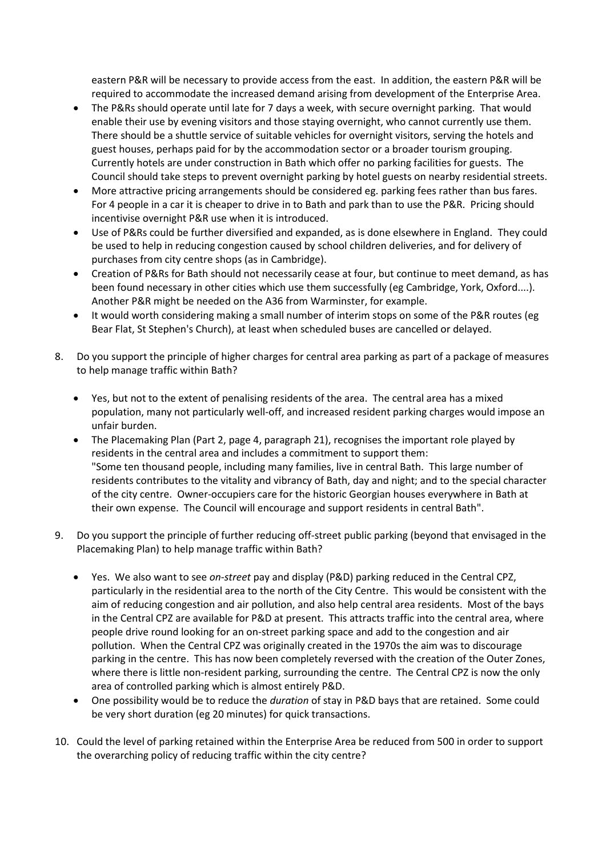eastern P&R will be necessary to provide access from the east. In addition, the eastern P&R will be required to accommodate the increased demand arising from development of the Enterprise Area.

- The P&Rs should operate until late for 7 days a week, with secure overnight parking. That would enable their use by evening visitors and those staying overnight, who cannot currently use them. There should be a shuttle service of suitable vehicles for overnight visitors, serving the hotels and guest houses, perhaps paid for by the accommodation sector or a broader tourism grouping. Currently hotels are under construction in Bath which offer no parking facilities for guests. The Council should take steps to prevent overnight parking by hotel guests on nearby residential streets.
- More attractive pricing arrangements should be considered eg. parking fees rather than bus fares. For 4 people in a car it is cheaper to drive in to Bath and park than to use the P&R. Pricing should incentivise overnight P&R use when it is introduced.
- Use of P&Rs could be further diversified and expanded, as is done elsewhere in England. They could be used to help in reducing congestion caused by school children deliveries, and for delivery of purchases from city centre shops (as in Cambridge).
- Creation of P&Rs for Bath should not necessarily cease at four, but continue to meet demand, as has been found necessary in other cities which use them successfully (eg Cambridge, York, Oxford....). Another P&R might be needed on the A36 from Warminster, for example.
- It would worth considering making a small number of interim stops on some of the P&R routes (eg Bear Flat, St Stephen's Church), at least when scheduled buses are cancelled or delayed.
- 8. Do you support the principle of higher charges for central area parking as part of a package of measures to help manage traffic within Bath?
	- Yes, but not to the extent of penalising residents of the area. The central area has a mixed population, many not particularly well-off, and increased resident parking charges would impose an unfair burden.
	- The Placemaking Plan (Part 2, page 4, paragraph 21), recognises the important role played by residents in the central area and includes a commitment to support them: "Some ten thousand people, including many families, live in central Bath. This large number of residents contributes to the vitality and vibrancy of Bath, day and night; and to the special character of the city centre. Owner-occupiers care for the historic Georgian houses everywhere in Bath at their own expense. The Council will encourage and support residents in central Bath".
- 9. Do you support the principle of further reducing off-street public parking (beyond that envisaged in the Placemaking Plan) to help manage traffic within Bath?
	- Yes. We also want to see *on-street* pay and display (P&D) parking reduced in the Central CPZ, particularly in the residential area to the north of the City Centre. This would be consistent with the aim of reducing congestion and air pollution, and also help central area residents. Most of the bays in the Central CPZ are available for P&D at present. This attracts traffic into the central area, where people drive round looking for an on-street parking space and add to the congestion and air pollution. When the Central CPZ was originally created in the 1970s the aim was to discourage parking in the centre. This has now been completely reversed with the creation of the Outer Zones, where there is little non-resident parking, surrounding the centre. The Central CPZ is now the only area of controlled parking which is almost entirely P&D.
	- One possibility would be to reduce the *duration* of stay in P&D bays that are retained. Some could be very short duration (eg 20 minutes) for quick transactions.
- 10. Could the level of parking retained within the Enterprise Area be reduced from 500 in order to support the overarching policy of reducing traffic within the city centre?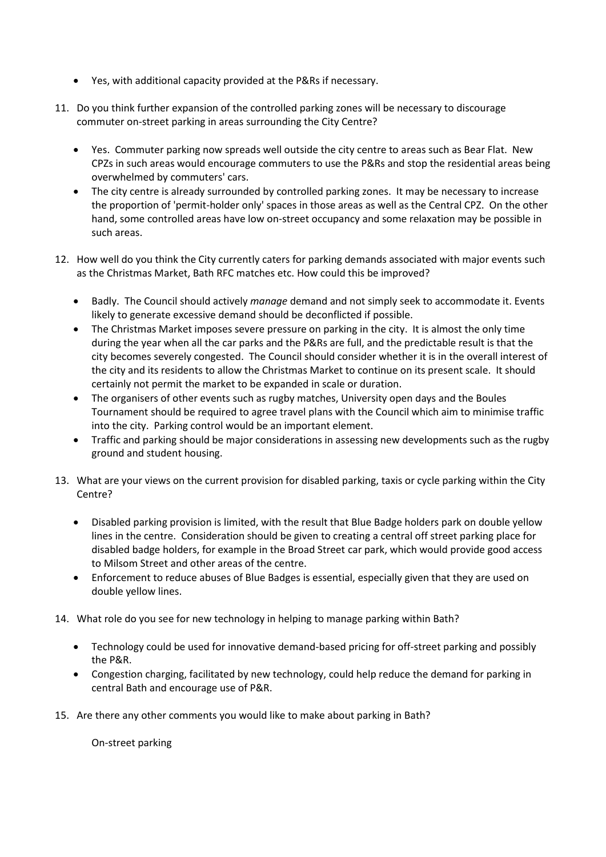- Yes, with additional capacity provided at the P&Rs if necessary.
- 11. Do you think further expansion of the controlled parking zones will be necessary to discourage commuter on-street parking in areas surrounding the City Centre?
	- Yes. Commuter parking now spreads well outside the city centre to areas such as Bear Flat. New CPZs in such areas would encourage commuters to use the P&Rs and stop the residential areas being overwhelmed by commuters' cars.
	- The city centre is already surrounded by controlled parking zones. It may be necessary to increase the proportion of 'permit-holder only' spaces in those areas as well as the Central CPZ. On the other hand, some controlled areas have low on-street occupancy and some relaxation may be possible in such areas.
- 12. How well do you think the City currently caters for parking demands associated with major events such as the Christmas Market, Bath RFC matches etc. How could this be improved?
	- Badly. The Council should actively *manage* demand and not simply seek to accommodate it. Events likely to generate excessive demand should be deconflicted if possible.
	- The Christmas Market imposes severe pressure on parking in the city. It is almost the only time during the year when all the car parks and the P&Rs are full, and the predictable result is that the city becomes severely congested. The Council should consider whether it is in the overall interest of the city and its residents to allow the Christmas Market to continue on its present scale. It should certainly not permit the market to be expanded in scale or duration.
	- The organisers of other events such as rugby matches, University open days and the Boules Tournament should be required to agree travel plans with the Council which aim to minimise traffic into the city. Parking control would be an important element.
	- Traffic and parking should be major considerations in assessing new developments such as the rugby ground and student housing.
- 13. What are your views on the current provision for disabled parking, taxis or cycle parking within the City Centre?
	- Disabled parking provision is limited, with the result that Blue Badge holders park on double yellow lines in the centre. Consideration should be given to creating a central off street parking place for disabled badge holders, for example in the Broad Street car park, which would provide good access to Milsom Street and other areas of the centre.
	- Enforcement to reduce abuses of Blue Badges is essential, especially given that they are used on double yellow lines.
- 14. What role do you see for new technology in helping to manage parking within Bath?
	- Technology could be used for innovative demand-based pricing for off-street parking and possibly the P&R.
	- Congestion charging, facilitated by new technology, could help reduce the demand for parking in central Bath and encourage use of P&R.
- 15. Are there any other comments you would like to make about parking in Bath?

On-street parking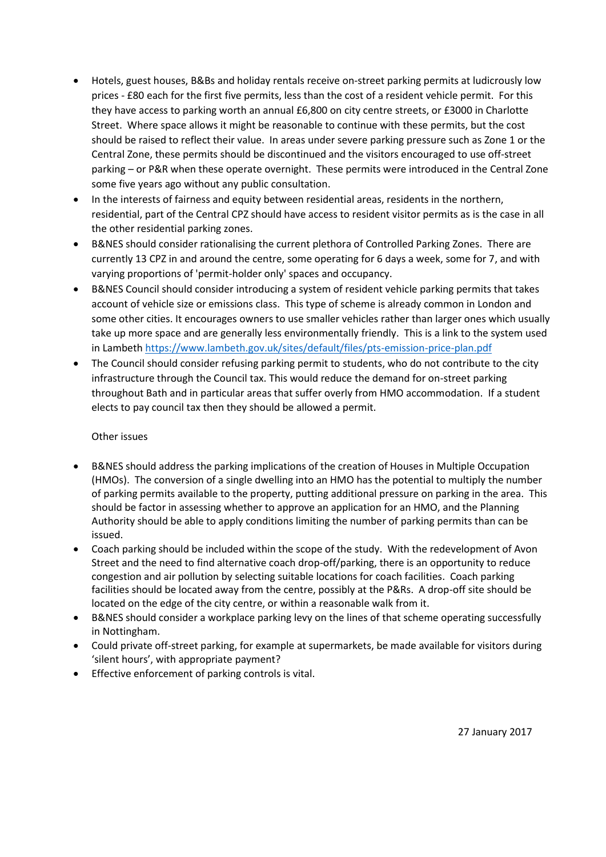- Hotels, guest houses, B&Bs and holiday rentals receive on-street parking permits at ludicrously low prices - £80 each for the first five permits, less than the cost of a resident vehicle permit. For this they have access to parking worth an annual £6,800 on city centre streets, or £3000 in Charlotte Street. Where space allows it might be reasonable to continue with these permits, but the cost should be raised to reflect their value. In areas under severe parking pressure such as Zone 1 or the Central Zone, these permits should be discontinued and the visitors encouraged to use off-street parking – or P&R when these operate overnight. These permits were introduced in the Central Zone some five years ago without any public consultation.
- In the interests of fairness and equity between residential areas, residents in the northern, residential, part of the Central CPZ should have access to resident visitor permits as is the case in all the other residential parking zones.
- B&NES should consider rationalising the current plethora of Controlled Parking Zones. There are currently 13 CPZ in and around the centre, some operating for 6 days a week, some for 7, and with varying proportions of 'permit-holder only' spaces and occupancy.
- B&NES Council should consider introducing a system of resident vehicle parking permits that takes account of vehicle size or emissions class. This type of scheme is already common in London and some other cities. It encourages owners to use smaller vehicles rather than larger ones which usually take up more space and are generally less environmentally friendly. This is a link to the system used in Lambeth <https://www.lambeth.gov.uk/sites/default/files/pts-emission-price-plan.pdf>
- The Council should consider refusing parking permit to students, who do not contribute to the city infrastructure through the Council tax. This would reduce the demand for on-street parking throughout Bath and in particular areas that suffer overly from HMO accommodation. If a student elects to pay council tax then they should be allowed a permit.

### Other issues

- B&NES should address the parking implications of the creation of Houses in Multiple Occupation (HMOs). The conversion of a single dwelling into an HMO has the potential to multiply the number of parking permits available to the property, putting additional pressure on parking in the area. This should be factor in assessing whether to approve an application for an HMO, and the Planning Authority should be able to apply conditions limiting the number of parking permits than can be issued.
- Coach parking should be included within the scope of the study. With the redevelopment of Avon Street and the need to find alternative coach drop-off/parking, there is an opportunity to reduce congestion and air pollution by selecting suitable locations for coach facilities. Coach parking facilities should be located away from the centre, possibly at the P&Rs. A drop-off site should be located on the edge of the city centre, or within a reasonable walk from it.
- B&NES should consider a workplace parking levy on the lines of that scheme operating successfully in Nottingham.
- Could private off-street parking, for example at supermarkets, be made available for visitors during 'silent hours', with appropriate payment?
- Effective enforcement of parking controls is vital.